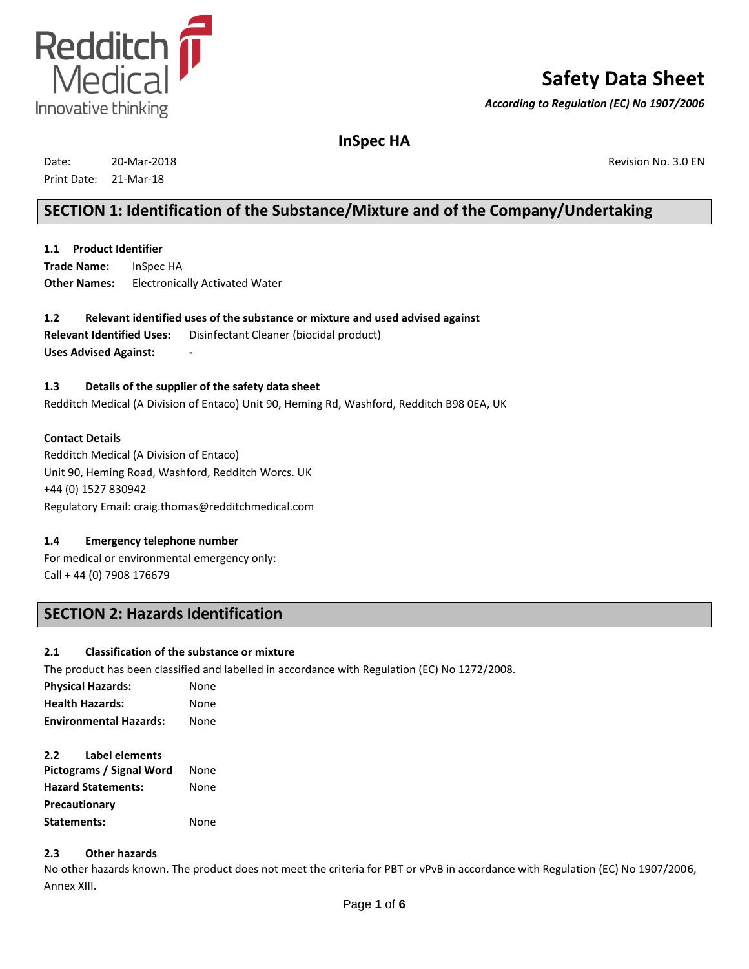

# **Safety Data Sheet**

*According to Regulation (EC) No 1907/2006*

**InSpec HA**

| Date:       | 20-Mar-2018 |
|-------------|-------------|
| Print Date: | 21-Mar-18   |

Revision No. 3.0 EN

## **SECTION 1: Identification of the Substance/Mixture and of the Company/Undertaking**

**1.1 Product Identifier Trade Name: Other Names:** InSpec HA Electronically Activated Water

**1.2 Relevant identified uses of the substance or mixture and used advised against Relevant Identified Uses:** Disinfectant Cleaner (biocidal product) **Uses Advised Against:** 

## **1.3 Details of the supplier of the safety data sheet**

Redditch Medical (A Division of Entaco) Unit 90, Heming Rd, Washford, Redditch B98 0EA, UK

#### **Contact Details**

Redditch Medical (A Division of Entaco) Unit 90, Heming Road, Washford, Redditch Worcs. UK +44 (0) 1527 830942 Regulatory Email: craig.thomas@redditchmedical.com

### **1.4 Emergency telephone number**

For medical or environmental emergency only: Call + 44 (0) 7908 176679

## **SECTION 2: Hazards Identification**

### **2.1 Classification of the substance or mixture**

The product has been classified and labelled in accordance with Regulation (EC) No 1272/2008.

| <b>Physical Hazards:</b>      | None |
|-------------------------------|------|
| <b>Health Hazards:</b>        | None |
| <b>Environmental Hazards:</b> | None |

### **2.2 Label elements**

| Pictograms / Signal Word  | None |
|---------------------------|------|
| <b>Hazard Statements:</b> | None |
| Precautionary             |      |
| Statements:               | None |

### **2.3 Other hazards**

No other hazards known. The product does not meet the criteria for PBT or vPvB in accordance with Regulation (EC) No 1907/2006, Annex XIII.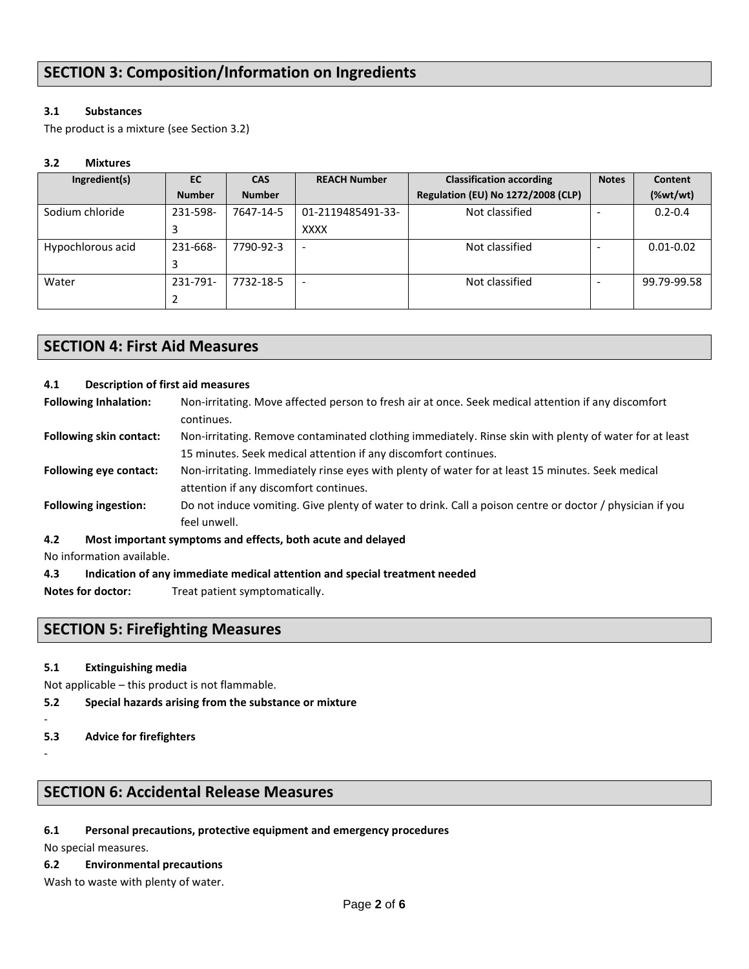### **3.1 Substances**

The product is a mixture (see Section 3.2)

### **3.2 Mixtures**

| Ingredient(s)     | EC            | <b>CAS</b>    | <b>REACH Number</b>      | <b>Classification according</b>           | <b>Notes</b> | Content                                                         |
|-------------------|---------------|---------------|--------------------------|-------------------------------------------|--------------|-----------------------------------------------------------------|
|                   | <b>Number</b> | <b>Number</b> |                          | <b>Regulation (EU) No 1272/2008 (CLP)</b> |              | $(% \mathcal{L}_{0}^{\ast}(\mathcal{C})\times \mathcal{C}_{1})$ |
| Sodium chloride   | 231-598-      | 7647-14-5     | 01-2119485491-33-        | Not classified                            |              | $0.2 - 0.4$                                                     |
|                   |               |               | <b>XXXX</b>              |                                           |              |                                                                 |
| Hypochlorous acid | 231-668-      | 7790-92-3     | $\overline{\phantom{a}}$ | Not classified                            |              | $0.01 - 0.02$                                                   |
|                   |               |               |                          |                                           |              |                                                                 |
| Water             | 231-791-      | 7732-18-5     | $\overline{\phantom{a}}$ | Not classified                            |              | 99.79-99.58                                                     |
|                   |               |               |                          |                                           |              |                                                                 |

## **SECTION 4: First Aid Measures**

### **4.1 Description of first aid measures**

| <b>Following Inhalation:</b>   | Non-irritating. Move affected person to fresh air at once. Seek medical attention if any discomfort      |
|--------------------------------|----------------------------------------------------------------------------------------------------------|
|                                | continues.                                                                                               |
| <b>Following skin contact:</b> | Non-irritating. Remove contaminated clothing immediately. Rinse skin with plenty of water for at least   |
|                                | 15 minutes. Seek medical attention if any discomfort continues.                                          |
| <b>Following eve contact:</b>  | Non-irritating. Immediately rinse eyes with plenty of water for at least 15 minutes. Seek medical        |
|                                | attention if any discomfort continues.                                                                   |
| <b>Following ingestion:</b>    | Do not induce vomiting. Give plenty of water to drink. Call a poison centre or doctor / physician if you |
|                                | feel unwell.                                                                                             |
| 4.2                            | Most important symptoms and effects, both acute and delayed                                              |
| No information quailable       |                                                                                                          |

No information available.

### **4.3 Indication of any immediate medical attention and special treatment needed**

**Notes for doctor:** Treat patient symptomatically.

## **SECTION 5: Firefighting Measures**

### **5.1 Extinguishing media**

Not applicable – this product is not flammable.

- **5.2 Special hazards arising from the substance or mixture**
- -
- **5.3 Advice for firefighters**
- -

## **SECTION 6: Accidental Release Measures**

**6.1 Personal precautions, protective equipment and emergency procedures**

No special measures.

- **6.2 Environmental precautions**
- Wash to waste with plenty of water.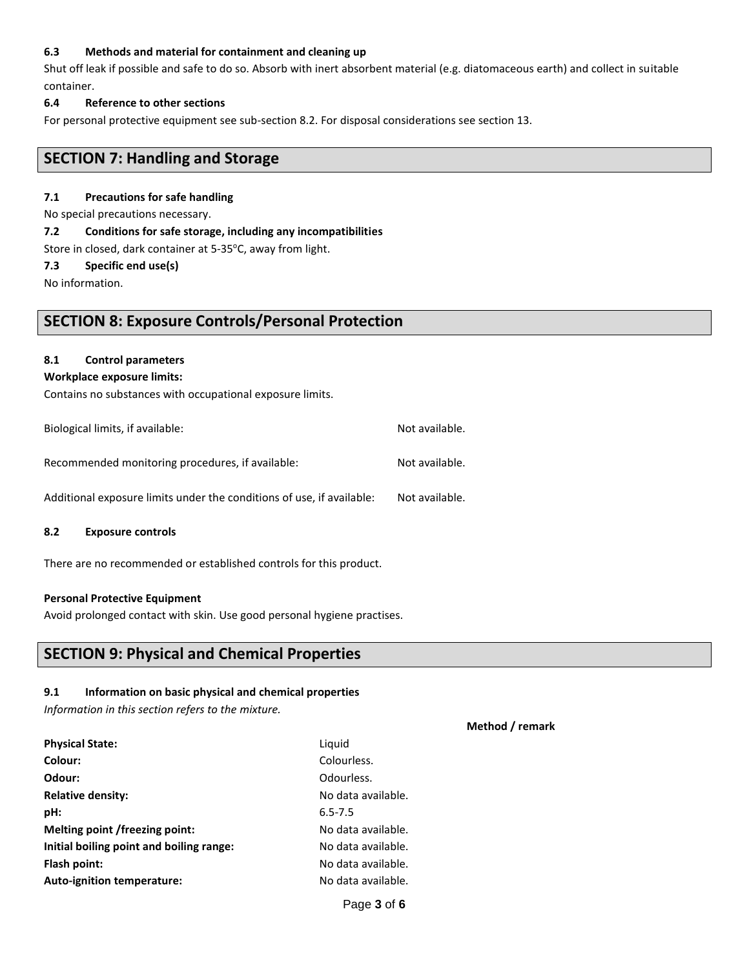#### **6.3 Methods and material for containment and cleaning up**

Shut off leak if possible and safe to do so. Absorb with inert absorbent material (e.g. diatomaceous earth) and collect in suitable container.

#### **6.4 Reference to other sections**

For personal protective equipment see sub-section 8.2. For disposal considerations see section 13.

## **SECTION 7: Handling and Storage**

#### **7.1 Precautions for safe handling**

No special precautions necessary.

#### **7.2 Conditions for safe storage, including any incompatibilities**

Store in closed, dark container at 5-35°C, away from light.

#### **7.3 Specific end use(s)**

No information.

## **SECTION 8: Exposure Controls/Personal Protection**

#### **8.1 Control parameters**

#### **Workplace exposure limits:**

Contains no substances with occupational exposure limits.

| Biological limits, if available:                                      | Not available. |
|-----------------------------------------------------------------------|----------------|
| Recommended monitoring procedures, if available:                      | Not available. |
| Additional exposure limits under the conditions of use, if available: | Not available. |

#### **8.2 Exposure controls**

There are no recommended or established controls for this product.

#### **Personal Protective Equipment**

Avoid prolonged contact with skin. Use good personal hygiene practises.

## **SECTION 9: Physical and Chemical Properties**

#### **9.1 Information on basic physical and chemical properties**

*Information in this section refers to the mixture.*

| Liguid             |
|--------------------|
| Colourless.        |
| Odourless.         |
| No data available. |
| $6.5 - 7.5$        |
| No data available. |
| No data available. |
| No data available. |
| No data available. |
|                    |

#### **Method / remark**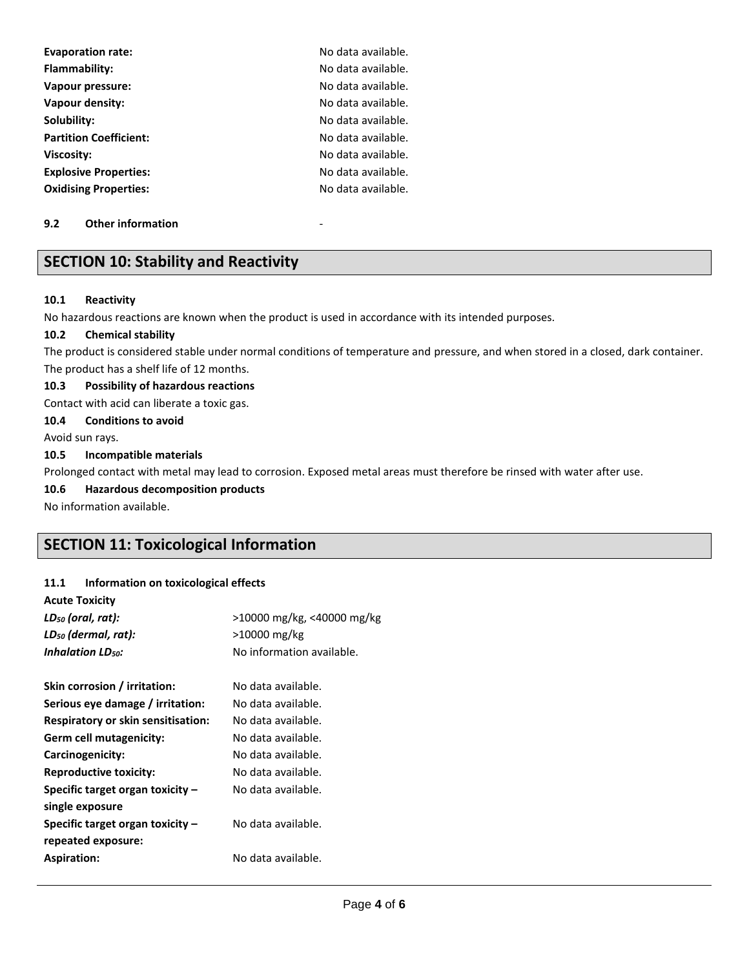| <b>Evaporation rate:</b>      | No data available. |
|-------------------------------|--------------------|
| Flammability:                 | No data available. |
| Vapour pressure:              | No data available. |
| Vapour density:               | No data available. |
| Solubility:                   | No data available. |
| <b>Partition Coefficient:</b> | No data available. |
| Viscosity:                    | No data available. |
| <b>Explosive Properties:</b>  | No data available. |
| <b>Oxidising Properties:</b>  | No data available. |

#### **9.2 Other information**

## **SECTION 10: Stability and Reactivity**

#### **10.1 Reactivity**

No hazardous reactions are known when the product is used in accordance with its intended purposes.

#### **10.2 Chemical stability**

The product is considered stable under normal conditions of temperature and pressure, and when stored in a closed, dark container. The product has a shelf life of 12 months.

#### **10.3 Possibility of hazardous reactions**

Contact with acid can liberate a toxic gas.

#### **10.4 Conditions to avoid**

Avoid sun rays.

#### **10.5 Incompatible materials**

Prolonged contact with metal may lead to corrosion. Exposed metal areas must therefore be rinsed with water after use.

#### **10.6 Hazardous decomposition products**

No information available.

## **SECTION 11: Toxicological Information**

### **11.1 Information on toxicological effects**

| <b>Acute Toxicity</b>                     |                            |
|-------------------------------------------|----------------------------|
| $LD_{50}$ (oral, rat):                    | >10000 mg/kg, <40000 mg/kg |
| LD <sub>50</sub> (dermal, rat):           | >10000 mg/kg               |
| <b>Inhalation LD<sub>50</sub>:</b>        | No information available.  |
| Skin corrosion / irritation:              | No data available.         |
| Serious eye damage / irritation:          | No data available.         |
| <b>Respiratory or skin sensitisation:</b> | No data available.         |
| Germ cell mutagenicity:                   | No data available.         |
| Carcinogenicity:                          | No data available.         |
| <b>Reproductive toxicity:</b>             | No data available.         |
| Specific target organ toxicity -          | No data available.         |
| single exposure                           |                            |
| Specific target organ toxicity -          | No data available.         |
| repeated exposure:                        |                            |
| <b>Aspiration:</b>                        | No data available.         |
|                                           |                            |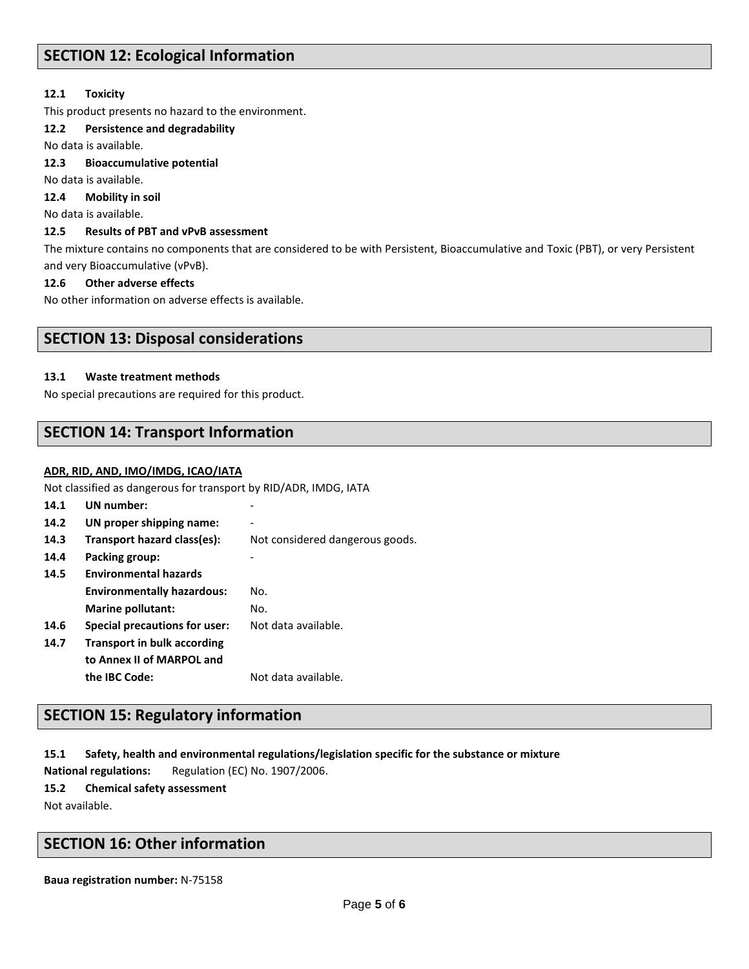## **SECTION 12: Ecological Information**

### **12.1 Toxicity**

This product presents no hazard to the environment.

#### **12.2 Persistence and degradability**

No data is available.

#### **12.3 Bioaccumulative potential**

No data is available.

**12.4 Mobility in soil**

No data is available.

### **12.5 Results of PBT and vPvB assessment**

The mixture contains no components that are considered to be with Persistent, Bioaccumulative and Toxic (PBT), or very Persistent and very Bioaccumulative (vPvB).

#### **12.6 Other adverse effects**

No other information on adverse effects is available.

## **SECTION 13: Disposal considerations**

#### **13.1 Waste treatment methods**

No special precautions are required for this product.

## **SECTION 14: Transport Information**

#### **ADR, RID, AND, IMO/IMDG, ICAO/IATA**

Not classified as dangerous for transport by RID/ADR, IMDG, IATA

| 14.1 | UN number:                           |                                 |
|------|--------------------------------------|---------------------------------|
| 14.2 | UN proper shipping name:             |                                 |
| 14.3 | Transport hazard class(es):          | Not considered dangerous goods. |
| 14.4 | Packing group:                       |                                 |
| 14.5 | <b>Environmental hazards</b>         |                                 |
|      | <b>Environmentally hazardous:</b>    | No.                             |
|      | <b>Marine pollutant:</b>             | No.                             |
| 14.6 | <b>Special precautions for user:</b> | Not data available.             |
| 14.7 | <b>Transport in bulk according</b>   |                                 |
|      | to Annex II of MARPOL and            |                                 |
|      | the IBC Code:                        | Not data available.             |
|      |                                      |                                 |

## **SECTION 15: Regulatory information**

**15.1 Safety, health and environmental regulations/legislation specific for the substance or mixture**

**National regulations:** Regulation (EC) No. 1907/2006.

**15.2 Chemical safety assessment**

Not available.

## **SECTION 16: Other information**

**Baua registration number:** N-75158